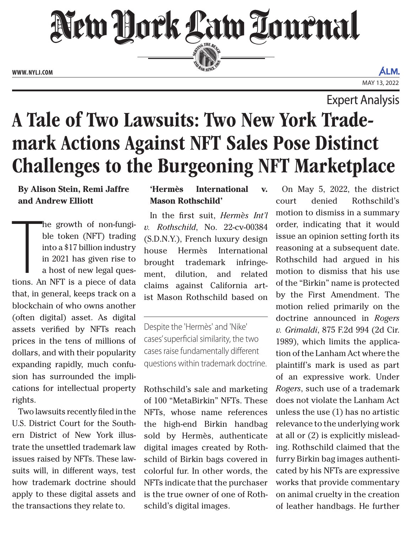New Hork Law Lournal SERVICE THE BENCH

**ED BAR SINCE 188** 

**WWW. NYLJ.COM**

ALM. MAY 13, 2022

Expert Analysis

# A Tale of Two Lawsuits: Two New York Trademark Actions Against NFT Sales Pose Distinct Challenges to the Burgeoning NFT Marketplace

## **By Alison Stein, Remi Jaffre and Andrew Elliott**

he growth of non-fungi-<br>ble token (NFT) trading<br>into a \$17 billion industry<br>in 2021 has given rise to<br>a host of new legal ques-<br>tions. An NFT is a piece of data he growth of non-fungible token (NFT) trading into a \$17 billion industry in 2021 has given rise to a host of new legal questhat, in general, keeps track on a blockchain of who owns another (often digital) asset. As digital assets verified by NFTs reach prices in the tens of millions of dollars, and with their popularity expanding rapidly, much confusion has surrounded the implications for intellectual property rights.

Two lawsuits recently filed in the U.S. District Court for the Southern District of New York illustrate the unsettled trademark law issues raised by NFTs. These lawsuits will, in different ways, test how trademark doctrine should apply to these digital assets and the transactions they relate to.

## **'Hermès International v. Mason Rothschild'**

In the first suit, *Hermès Int'l v. Rothschild*, No. 22-cv-00384 (S.D.N.Y.), French luxury design house Hermès International brought trademark infringement, dilution, and related claims against California artist Mason Rothschild based on

Despite the 'Hermès' and 'Nike' cases' superficial similarity, the two cases raise fundamentally different questions within trademark doctrine.

Rothschild's sale and marketing of 100 "MetaBirkin" NFTs. These NFTs, whose name references the high-end Birkin handbag sold by Hermès, authenticate digital images created by Rothschild of Birkin bags covered in colorful fur. In other words, the NFTs indicate that the purchaser is the true owner of one of Rothschild's digital images.

On May 5, 2022, the district court denied Rothschild's motion to dismiss in a summary order, indicating that it would issue an opinion setting forth its reasoning at a subsequent date. Rothschild had argued in his motion to dismiss that his use of the "Birkin" name is protected by the First Amendment. The motion relied primarily on the doctrine announced in *Rogers v. Grimaldi*, 875 F.2d 994 (2d Cir. 1989), which limits the application of the Lanham Act where the plaintiff's mark is used as part of an expressive work. Under *Rogers*, such use of a trademark does not violate the Lanham Act unless the use (1) has no artistic relevance to the underlying work at all or (2) is explicitly misleading. Rothschild claimed that the furry Birkin bag images authenticated by his NFTs are expressive works that provide commentary on animal cruelty in the creation of leather handbags. He further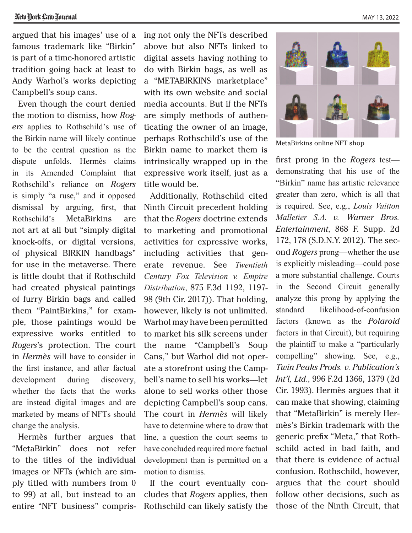MAY 13, 2022

argued that his images' use of a famous trademark like "Birkin" is part of a time-honored artistic tradition going back at least to Andy Warhol's works depicting Campbell's soup cans.

Even though the court denied the motion to dismiss, how *Rogers* applies to Rothschild's use of the Birkin name will likely continue to be the central question as the dispute unfolds. Hermès claims in its Amended Complaint that Rothschild's reliance on *Rogers* is simply "a ruse," and it opposed dismissal by arguing, first, that Rothschild's MetaBirkins are not art at all but "simply digital knock-offs, or digital versions, of physical BIRKIN handbags" for use in the metaverse. There is little doubt that if Rothschild had created physical paintings of furry Birkin bags and called them "PaintBirkins," for example, those paintings would be expressive works entitled to *Rogers*'s protection. The court in *Hermès* will have to consider in the first instance, and after factual development during discovery, whether the facts that the works are instead digital images and are marketed by means of NFTs should change the analysis.

Hermès further argues that "MetaBirkin" does not refer to the titles of the individual images or NFTs (which are simply titled with numbers from 0 to 99) at all, but instead to an entire "NFT business" comprising not only the NFTs described above but also NFTs linked to digital assets having nothing to do with Birkin bags, as well as a "METABIRKINS marketplace" with its own website and social media accounts. But if the NFTs are simply methods of authenticating the owner of an image, perhaps Rothschild's use of the Birkin name to market them is intrinsically wrapped up in the expressive work itself, just as a title would be.

Additionally, Rothschild cited Ninth Circuit precedent holding that the *Rogers* doctrine extends to marketing and promotional activities for expressive works, including activities that generate revenue. See *Twentieth Century Fox Television v. Empire Distribution*, 875 F.3d 1192, 1197- 98 (9th Cir. 2017)). That holding, however, likely is not unlimited. Warhol may have been permitted to market his silk screens under the name "Campbell's Soup Cans," but Warhol did not operate a storefront using the Campbell's name to sell his works—let alone to sell works other those depicting Campbell's soup cans. The court in *Hermès* will likely have to determine where to draw that line, a question the court seems to have concluded required more factual development than is permitted on a motion to dismiss.

If the court eventually concludes that *Rogers* applies, then Rothschild can likely satisfy the



MetaBirkins online NFT shop

first prong in the *Rogers* test demonstrating that his use of the "Birkin" name has artistic relevance greater than zero, which is all that is required. See, e.g., *Louis Vuitton Malletier S.A. v. Warner Bros. Entertainment*, 868 F. Supp. 2d 172, 178 (S.D.N.Y. 2012). The second *Rogers* prong—whether the use is explicitly misleading—could pose a more substantial challenge. Courts in the Second Circuit generally analyze this prong by applying the standard likelihood-of-confusion factors (known as the *Polaroid* factors in that Circuit), but requiring the plaintiff to make a "particularly compelling" showing. See, e.g., *Twin Peaks Prods. v. Publication's Int'l, Ltd.*, 996 F.2d 1366, 1379 (2d Cir. 1993). Hermès argues that it can make that showing, claiming that "MetaBirkin" is merely Hermès's Birkin trademark with the generic prefix "Meta," that Rothschild acted in bad faith, and that there is evidence of actual confusion. Rothschild, however, argues that the court should follow other decisions, such as those of the Ninth Circuit, that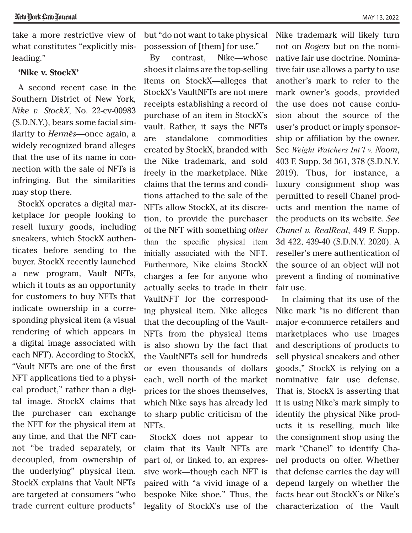### **'Nike v. StockX'**

A second recent case in the Southern District of New York, *Nike v. StockX*, No. 22-cv-00983 (S.D.N.Y.), bears some facial similarity to *Hermès*—once again, a widely recognized brand alleges that the use of its name in connection with the sale of NFTs is infringing. But the similarities may stop there.

StockX operates a digital marketplace for people looking to resell luxury goods, including sneakers, which StockX authenticates before sending to the buyer. StockX recently launched a new program, Vault NFTs, which it touts as an opportunity for customers to buy NFTs that indicate ownership in a corresponding physical item (a visual rendering of which appears in a digital image associated with each NFT). According to StockX, "Vault NFTs are one of the first NFT applications tied to a physical product," rather than a digital image. StockX claims that the purchaser can exchange the NFT for the physical item at any time, and that the NFT cannot "be traded separately, or decoupled, from ownership of the underlying" physical item. StockX explains that Vault NFTs are targeted at consumers "who trade current culture products"

but "do not want to take physical possession of [them] for use."

By contrast, Nike—whose shoes it claims are the top-selling items on StockX—alleges that StockX's VaultNFTs are not mere receipts establishing a record of purchase of an item in StockX's vault. Rather, it says the NFTs are standalone commodities created by StockX, branded with the Nike trademark, and sold freely in the marketplace. Nike claims that the terms and conditions attached to the sale of the NFTs allow StockX, at its discretion, to provide the purchaser of the NFT with something *other* than the specific physical item initially associated with the NFT. Furthermore, Nike claims StockX charges a fee for anyone who actually seeks to trade in their VaultNFT for the corresponding physical item. Nike alleges that the decoupling of the Vault-NFTs from the physical items is also shown by the fact that the VaultNFTs sell for hundreds or even thousands of dollars each, well north of the market prices for the shoes themselves, which Nike says has already led to sharp public criticism of the NFTs.

StockX does not appear to claim that its Vault NFTs are part of, or linked to, an expressive work—though each NFT is paired with "a vivid image of a bespoke Nike shoe." Thus, the legality of StockX's use of the Nike trademark will likely turn not on *Rogers* but on the nominative fair use doctrine. Nominative fair use allows a party to use another's mark to refer to the mark owner's goods, provided the use does not cause confusion about the source of the user's product or imply sponsorship or affiliation by the owner. See *Weight Watchers Int'l v. Noom*, 403 F. Supp. 3d 361, 378 (S.D.N.Y. 2019). Thus, for instance, a luxury consignment shop was permitted to resell Chanel products and mention the name of the products on its website. *See Chanel v. RealReal*, 449 F. Supp. 3d 422, 439-40 (S.D.N.Y. 2020). A reseller's mere authentication of the source of an object will not prevent a finding of nominative fair use.

In claiming that its use of the Nike mark "is no different than major e-commerce retailers and marketplaces who use images and descriptions of products to sell physical sneakers and other goods," StockX is relying on a nominative fair use defense. That is, StockX is asserting that it is using Nike's mark simply to identify the physical Nike products it is reselling, much like the consignment shop using the mark "Chanel" to identify Chanel products on offer. Whether that defense carries the day will depend largely on whether the facts bear out StockX's or Nike's characterization of the Vault